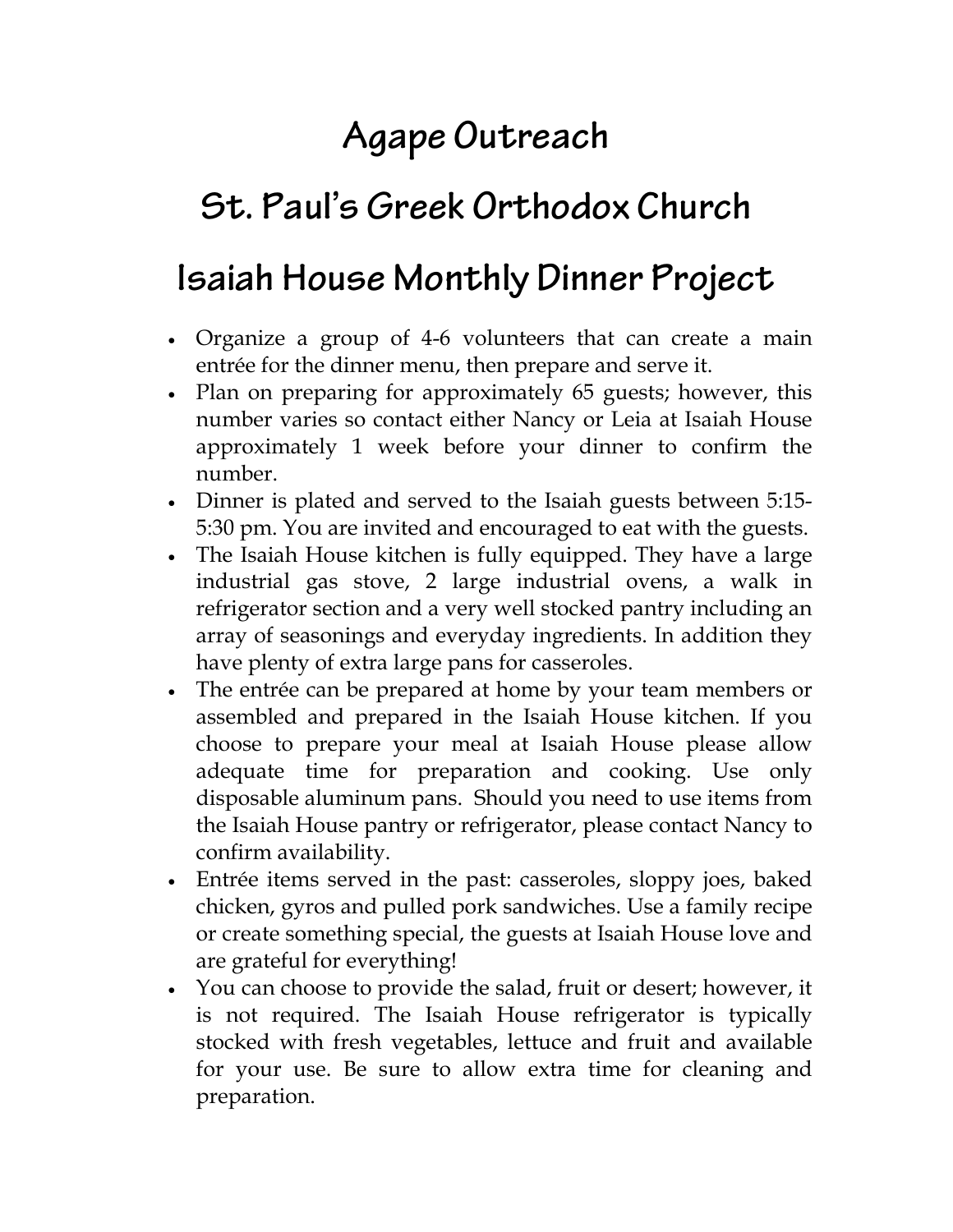# **Agape Outreach**

## **St. Paul's Greek Orthodox Church**

### **Isaiah House Monthly Dinner Project**

- Organize a group of 4-6 volunteers that can create a main entrée for the dinner menu, then prepare and serve it.
- Plan on preparing for approximately 65 guests; however, this number varies so contact either Nancy or Leia at Isaiah House approximately 1 week before your dinner to confirm the number.
- Dinner is plated and served to the Isaiah guests between 5:15- 5:30 pm. You are invited and encouraged to eat with the guests.
- The Isaiah House kitchen is fully equipped. They have a large industrial gas stove, 2 large industrial ovens, a walk in refrigerator section and a very well stocked pantry including an array of seasonings and everyday ingredients. In addition they have plenty of extra large pans for casseroles.
- The entrée can be prepared at home by your team members or assembled and prepared in the Isaiah House kitchen. If you choose to prepare your meal at Isaiah House please allow adequate time for preparation and cooking. Use only disposable aluminum pans. Should you need to use items from the Isaiah House pantry or refrigerator, please contact Nancy to confirm availability.
- Entrée items served in the past: casseroles, sloppy joes, baked chicken, gyros and pulled pork sandwiches. Use a family recipe or create something special, the guests at Isaiah House love and are grateful for everything!
- You can choose to provide the salad, fruit or desert; however, it is not required. The Isaiah House refrigerator is typically stocked with fresh vegetables, lettuce and fruit and available for your use. Be sure to allow extra time for cleaning and preparation.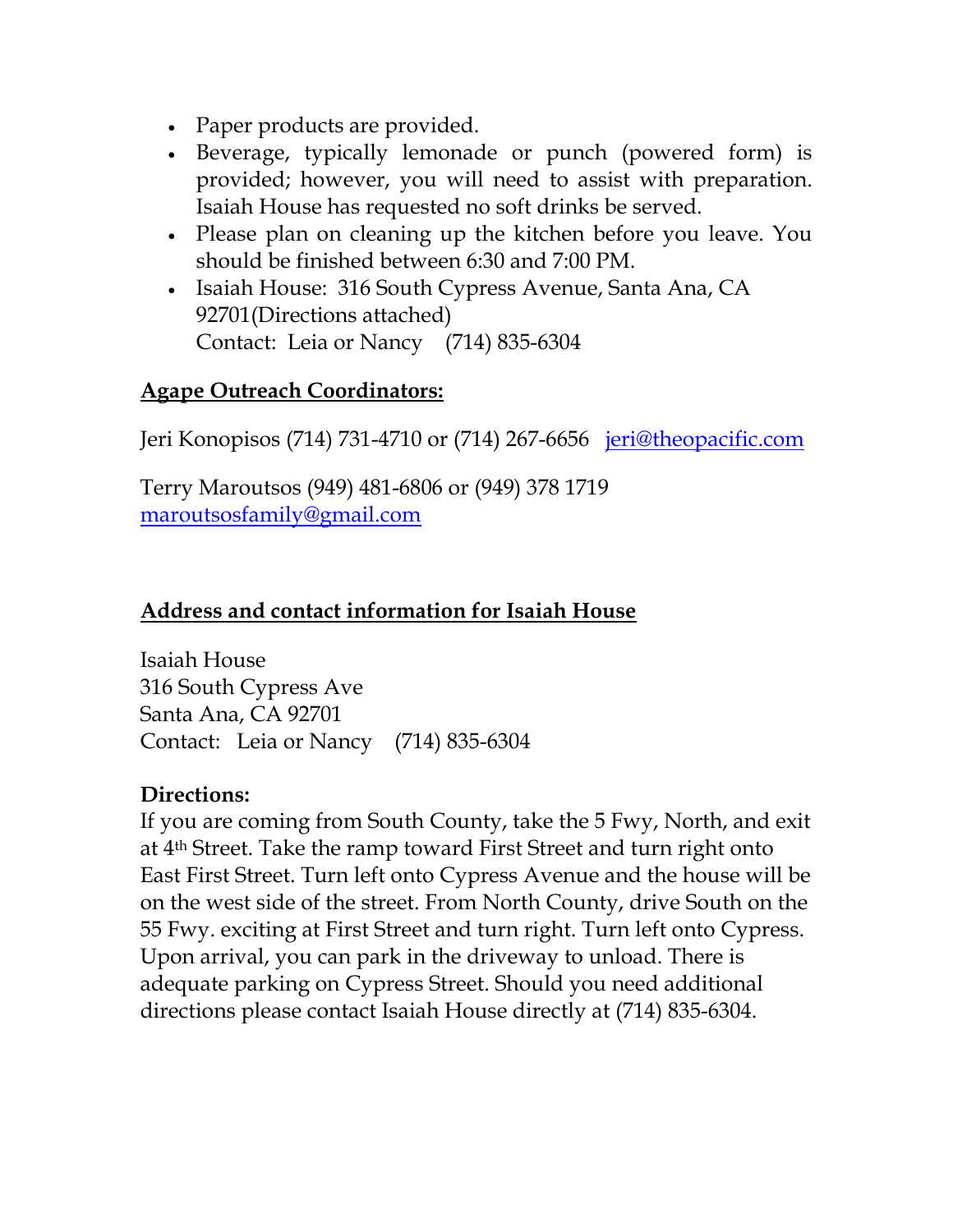- Paper products are provided.
- Beverage, typically lemonade or punch (powered form) is provided; however, you will need to assist with preparation. Isaiah House has requested no soft drinks be served.
- Please plan on cleaning up the kitchen before you leave. You should be finished between 6:30 and 7:00 PM.
- Isaiah House: 316 South Cypress Avenue, Santa Ana, CA 92701(Directions attached) Contact: Leia or Nancy (714) 835-6304

#### Agape Outreach Coordinators:

Jeri Konopisos (714) 731-4710 or (714) 267-6656 <u>jeri@theopacific.com</u>

Terry Maroutsos (949) 481-6806 or (949) 378 1719 maroutsosfamily@gmail.com

#### Address and contact information for Isaiah House

Isaiah House 316 South Cypress Ave Santa Ana, CA 92701 Contact: Leia or Nancy (714) 835-6304

### Directions:

If you are coming from South County, take the 5 Fwy, North, and exit at 4th Street. Take the ramp toward First Street and turn right onto East First Street. Turn left onto Cypress Avenue and the house will be on the west side of the street. From North County, drive South on the 55 Fwy. exciting at First Street and turn right. Turn left onto Cypress. Upon arrival, you can park in the driveway to unload. There is adequate parking on Cypress Street. Should you need additional directions please contact Isaiah House directly at (714) 835-6304.